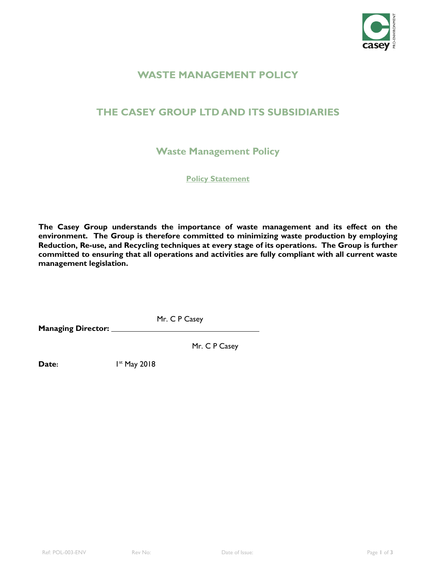

# **WASTE MANAGEMENT POLICY**

# **THE CASEY GROUP LTD AND ITS SUBSIDIARIES**

**Waste Management Policy** 

**Policy Statement**

**The Casey Group understands the importance of waste management and its effect on the environment. The Group is therefore committed to minimizing waste production by employing Reduction, Re-use, and Recycling techniques at every stage of its operations. The Group is further committed to ensuring that all operations and activities are fully compliant with all current waste management legislation.**

 Mr. C P Casey **Managing Director:**

Mr. C P Casey

**Date:**  $1^{st}$  May 2018

Ref: POL-003-ENV Rev No: Date of Issue: Page **1** of **3**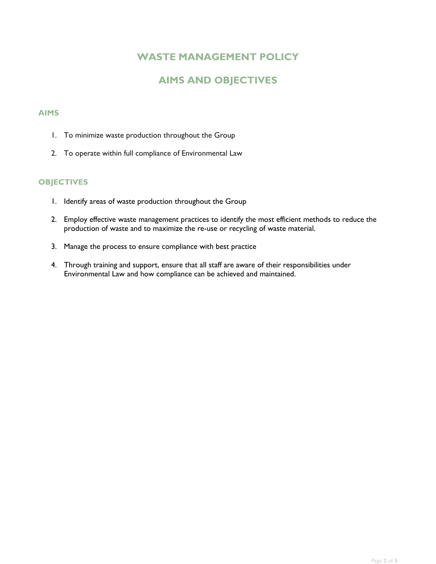# **WASTE MANAGEMENT POLICY**

# **AIMS AND OBJECTIVES**

#### **AIMS**

- 1. To minimize waste production throughout the Group
- 2. To operate within full compliance of Environmental Law

#### **OBJECTIVES**

- 1. Identify areas of waste production throughout the Group
- 2. Employ effective waste management practices to identify the most efficient methods to reduce the production of waste and to maximize the re-use or recycling of waste material.
- 3. Manage the process to ensure compliance with best practice
- 4. Through training and support, ensure that all staff are aware of their responsibilities under Environmental Law and how compliance can be achieved and maintained.